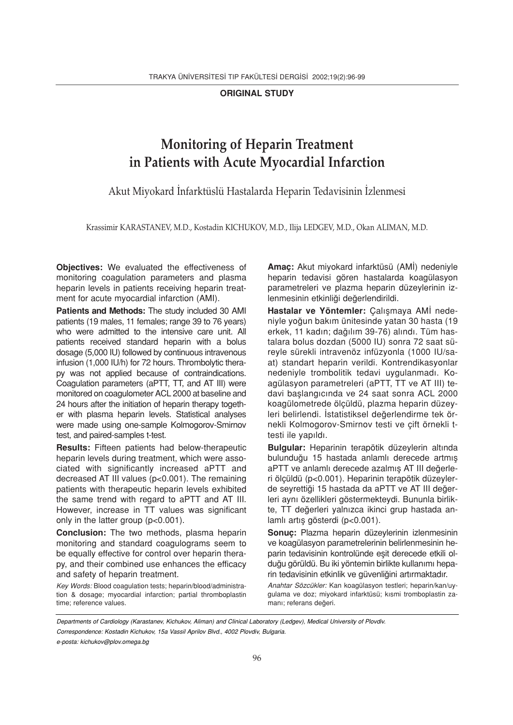ORIGINAL STUDY

# Monitoring of Heparin Treatment in Patients with Acute Myocardial Infarction

Akut Miyokard İnfarktüslü Hastalarda Heparin Tedavisinin İzlenmesi

Krassimir KARASTANEV, M.D., Kostadin KICHUKOV, M.D., Ilija LEDGEV, M.D., Okan ALIMAN, M.D.

Objectives: We evaluated the effectiveness of monitoring coagulation parameters and plasma heparin levels in patients receiving heparin treatment for acute myocardial infarction (AMI).

Patients and Methods: The study included 30 AMI patients (19 males, 11 females; range 39 to 76 years) who were admitted to the intensive care unit. All patients received standard heparin with a bolus dosage (5,000 IU) followed by continuous intravenous infusion (1,000 IU/h) for 72 hours. Thrombolytic therapy was not applied because of contraindications. Coagulation parameters (aPTT, TT, and AT III) were monitored on coagulometer ACL 2000 at baseline and 24 hours after the initiation of heparin therapy together with plasma heparin levels. Statistical analyses were made using one-sample Kolmogorov-Smirnov test, and paired-samples t-test.

Results: Fifteen patients had below-therapeutic heparin levels during treatment, which were associated with significantly increased aPTT and decreased AT III values (p<0.001). The remaining patients with therapeutic heparin levels exhibited the same trend with regard to aPTT and AT III. However, increase in TT values was significant only in the latter group (p<0.001).

Conclusion: The two methods, plasma heparin monitoring and standard coagulograms seem to be equally effective for control over heparin therapy, and their combined use enhances the efficacy and safety of heparin treatment.

Key Words: Blood coagulation tests; heparin/blood/administration & dosage; myocardial infarction; partial thromboplastin time; reference values.

Amaç: Akut miyokard infarktüsü (AMİ) nedeniyle heparin tedavisi gören hastalarda koagülasyon parametreleri ve plazma heparin düzeylerinin izlenmesinin etkinliği değerlendirildi.

Hastalar ve Yöntemler: Çalışmaya AMİ nedeniyle yoğun bakım ünitesinde yatan 30 hasta (19 erkek, 11 kadın; dağılım 39-76) alındı. Tüm hastalara bolus dozdan (5000 IU) sonra 72 saat süreyle sürekli intravenöz infüzyonla (1000 IU/saat) standart heparin verildi. Kontrendikasyonlar nedeniyle trombolitik tedavi uygulanmadı. Koagülasyon parametreleri (aPTT, TT ve AT III) tedavi baslangıcında ve 24 saat sonra ACL 2000 koagülometrede ölçüldü, plazma heparin düzeyleri belirlendi. İstatistiksel değerlendirme tek örnekli Kolmogorov-Smirnov testi ve çift örnekli ttesti ile vapıldı.

Bulgular: Heparinin terapötik düzeylerin altında bulunduğu 15 hastada anlamlı derecede artmış aPTT ve anlamlı derecede azalmış AT III değerleri ölçüldü (p<0.001). Heparinin terapötik düzeylerde seyrettiği 15 hastada da aPTT ve AT III değerleri aynı özellikleri göstermekteydi. Bununla birlikte, TT değerleri yalnızca ikinci grup hastada anlamlı artış gösterdi (p<0.001).

Sonuç: Plazma heparin düzeylerinin izlenmesinin ve koagülasyon parametrelerinin belirlenmesinin heparin tedavisinin kontrolünde esit derecede etkili olduğu görüldü. Bu iki yöntemin birlikte kullanımı heparin tedavisinin etkinlik ve güvenliğini artırmaktadır.

Anahtar Sözcükler: Kan koagülasyon testleri; heparin/kan/uygulama ve doz; miyokard infarktüsü; kısmi tromboplastin zamanı; referans değeri.

Departments of Cardiology (Karastanev, Kichukov, Aliman) and Clinical Laboratory (Ledgev), Medical University of Plovdiv. Correspondence: Kostadin Kichukov, 15a Vassil Aprilov Blvd., 4002 Plovdiv, Bulgaria.

e-posta: kichukov@plov.omega.bg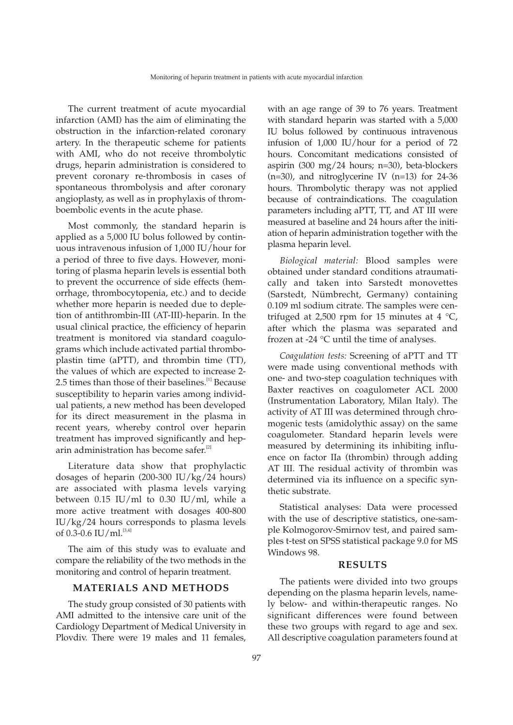The current treatment of acute myocardial infarction (AMI) has the aim of eliminating the obstruction in the infarction-related coronary artery. In the therapeutic scheme for patients with AMI, who do not receive thrombolytic drugs, heparin administration is considered to prevent coronary re-thrombosis in cases of spontaneous thrombolysis and after coronary angioplasty, as well as in prophylaxis of thromboembolic events in the acute phase.

Most commonly, the standard heparin is applied as a 5,000 IU bolus followed by continuous intravenous infusion of 1,000 IU/hour for a period of three to five days. However, monitoring of plasma heparin levels is essential both to prevent the occurrence of side effects (hemorrhage, thrombocytopenia, etc.) and to decide whether more heparin is needed due to depletion of antithrombin-III (AT-III)-heparin. In the usual clinical practice, the efficiency of heparin treatment is monitored via standard coagulograms which include activated partial thromboplastin time (aPTT), and thrombin time (TT), the values of which are expected to increase 2- 2.5 times than those of their baselines.<sup>[1]</sup> Because susceptibility to heparin varies among individual patients, a new method has been developed for its direct measurement in the plasma in recent years, whereby control over heparin treatment has improved significantly and heparin administration has become safer.<sup>[2]</sup>

Literature data show that prophylactic dosages of heparin (200-300 IU/kg/24 hours) are associated with plasma levels varying between  $0.15$  IU/ml to  $0.30$  IU/ml, while a more active treatment with dosages 400-800 IU/kg/24 hours corresponds to plasma levels of  $0.3$ -0.6 IU/ml.<sup>[3,4]</sup>

The aim of this study was to evaluate and compare the reliability of the two methods in the monitoring and control of heparin treatment.

## MATERIALS AND METHODS

The study group consisted of 30 patients with AMI admitted to the intensive care unit of the Cardiology Department of Medical University in Plovdiv. There were 19 males and 11 females,

with an age range of 39 to 76 years. Treatment with standard heparin was started with a 5,000 IU bolus followed by continuous intravenous infusion of 1,000 IU/hour for a period of 72 hours. Concomitant medications consisted of aspirin (300 mg/24 hours; n=30), beta-blockers (n=30), and nitroglycerine IV (n=13) for 24-36 hours. Thrombolytic therapy was not applied because of contraindications. The coagulation parameters including aPTT, TT, and AT III were measured at baseline and 24 hours after the initiation of heparin administration together with the plasma heparin level.

Biological material: Blood samples were obtained under standard conditions atraumatically and taken into Sarstedt monovettes (Sarstedt, Nümbrecht, Germany) containing 0.109 ml sodium citrate. The samples were centrifuged at 2,500 rpm for 15 minutes at 4  $^{\circ}C$ , after which the plasma was separated and frozen at -24 °C until the time of analyses.

Coagulation tests: Screening of aPTT and TT were made using conventional methods with one- and two-step coagulation techniques with Baxter reactives on coagulometer ACL 2000 (Instrumentation Laboratory, Milan Italy). The activity of AT III was determined through chromogenic tests (amidolythic assay) on the same coagulometer. Standard heparin levels were measured by determining its inhibiting influence on factor IIa (thrombin) through adding AT III. The residual activity of thrombin was determined via its influence on a specific synthetic substrate.

Statistical analyses: Data were processed with the use of descriptive statistics, one-sample Kolmogorov-Smirnov test, and paired samples t-test on SPSS statistical package 9.0 for MS Windows 98.

#### RESULTS

The patients were divided into two groups depending on the plasma heparin levels, namely below- and within-therapeutic ranges. No significant differences were found between these two groups with regard to age and sex. All descriptive coagulation parameters found at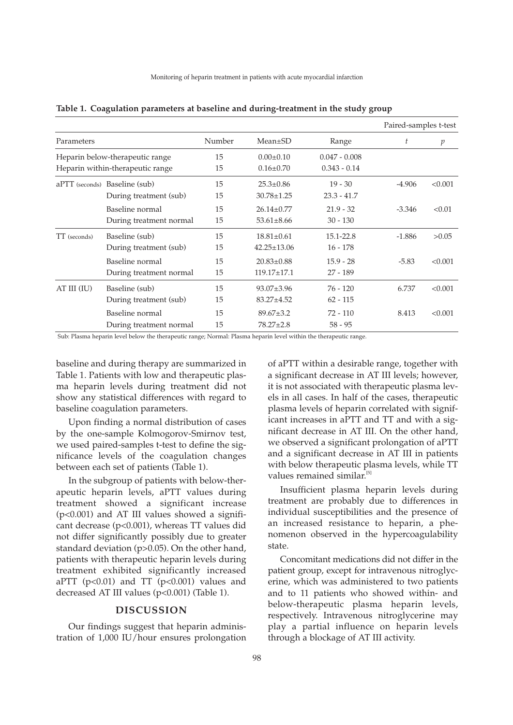|                                                                                   |                               |        |                   |                 | Paired-samples t-test |                |
|-----------------------------------------------------------------------------------|-------------------------------|--------|-------------------|-----------------|-----------------------|----------------|
| Parameters<br>Heparin below-therapeutic range<br>Heparin within-therapeutic range |                               | Number | $Mean \pm SD$     | Range           | t                     | $\mathfrak{p}$ |
|                                                                                   |                               | 15     | $0.00 \pm 0.10$   | $0.047 - 0.008$ |                       |                |
|                                                                                   |                               | 15     | $0.16 \pm 0.70$   | $0.343 - 0.14$  |                       |                |
|                                                                                   | aPTT (seconds) Baseline (sub) | 15     | $25.3 \pm 0.86$   | $19 - 30$       | $-4.906$              | < 0.001        |
|                                                                                   | During treatment (sub)        | 15     | $30.78 \pm 1.25$  | $23.3 - 41.7$   |                       |                |
|                                                                                   | Baseline normal               | 15     | $26.14 \pm 0.77$  | $21.9 - 32$     | $-3.346$              | < 0.01         |
|                                                                                   | During treatment normal       | 15     | $53.61 \pm 8.66$  | $30 - 130$      |                       |                |
| TT (seconds)                                                                      | Baseline (sub)                | 15     | $18.81 \pm 0.61$  | 15.1-22.8       | $-1.886$              | >0.05          |
|                                                                                   | During treatment (sub)        | 15     | $42.25 \pm 13.06$ | $16 - 178$      |                       |                |
|                                                                                   | Baseline normal               | 15     | $20.83 \pm 0.88$  | $15.9 - 28$     | $-5.83$               | < 0.001        |
|                                                                                   | During treatment normal       | 15     | $119.17 \pm 17.1$ | $27 - 189$      |                       |                |
| AT III (IU)                                                                       | Baseline (sub)                | 15     | $93.07 \pm 3.96$  | $76 - 120$      | 6.737                 | < 0.001        |
|                                                                                   | During treatment (sub)        | 15     | $83.27 + 4.52$    | $62 - 115$      |                       |                |
|                                                                                   | Baseline normal               | 15     | $89.67 \pm 3.2$   | $72 - 110$      | 8.413                 | < 0.001        |
|                                                                                   | During treatment normal       | 15     | $78.27 \pm 2.8$   | $58 - 95$       |                       |                |

|  |  | Table 1. Coagulation parameters at baseline and during-treatment in the study group |  |
|--|--|-------------------------------------------------------------------------------------|--|
|  |  |                                                                                     |  |

Sub: Plasma heparin level below the therapeutic range; Normal: Plasma heparin level within the therapeutic range.

baseline and during therapy are summarized in Table 1. Patients with low and therapeutic plasma heparin levels during treatment did not show any statistical differences with regard to baseline coagulation parameters.

Upon finding a normal distribution of cases by the one-sample Kolmogorov-Smirnov test, we used paired-samples t-test to define the significance levels of the coagulation changes between each set of patients (Table 1).

In the subgroup of patients with below-therapeutic heparin levels, aPTT values during treatment showed a significant increase (p<0.001) and AT III values showed a significant decrease (p<0.001), whereas TT values did not differ significantly possibly due to greater standard deviation (p>0.05). On the other hand, patients with therapeutic heparin levels during treatment exhibited significantly increased aPTT  $(p<0.01)$  and TT  $(p<0.001)$  values and decreased AT III values (p<0.001) (Table 1).

## DISCUSSION

Our findings suggest that heparin administration of 1,000 IU/hour ensures prolongation

of aPTT within a desirable range, together with a significant decrease in AT III levels; however, it is not associated with therapeutic plasma levels in all cases. In half of the cases, therapeutic plasma levels of heparin correlated with significant increases in aPTT and TT and with a significant decrease in AT III. On the other hand, we observed a significant prolongation of aPTT and a significant decrease in AT III in patients with below therapeutic plasma levels, while TT values remained similar.<sup>[5]</sup>

Insufficient plasma heparin levels during treatment are probably due to differences in individual susceptibilities and the presence of an increased resistance to heparin, a phenomenon observed in the hypercoagulability state.

Concomitant medications did not differ in the patient group, except for intravenous nitroglycerine, which was administered to two patients and to 11 patients who showed within- and below-therapeutic plasma heparin levels, respectively. Intravenous nitroglycerine may play a partial influence on heparin levels through a blockage of AT III activity.